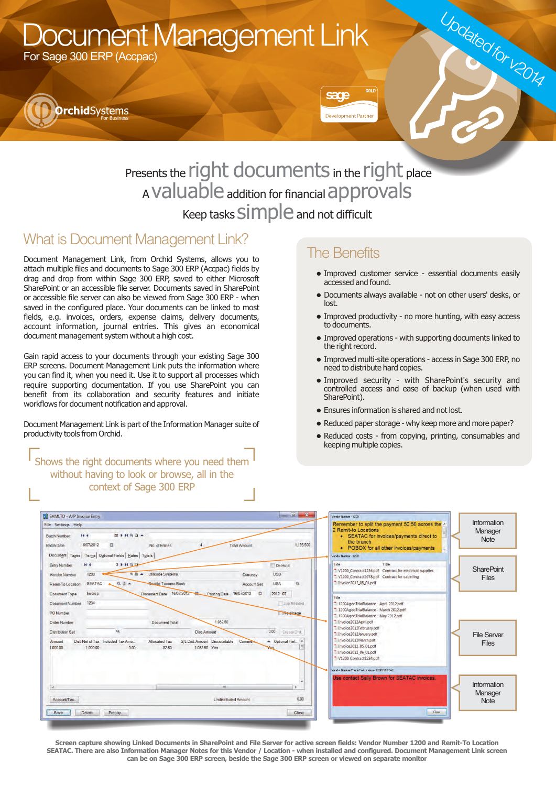# Document Management Link

For Sage 300 ERP (Accpac)



## Presents the right documents in the right place <sup>A</sup>valuable addition for financial approvals Keep tasks SIMPle and not difficult

### What is Document Management Link?

Document Management Link, from Orchid Systems, allows you to attach multiple files and documents to Sage 300 ERP (Accpac) fields by drag and drop from within Sage 300 ERP, saved to either Microsoft SharePoint or an accessible file server. Documents saved in SharePoint or accessible file server can also be viewed from Sage 300 ERP - when saved in the configured place. Your documents can be linked to most fields, e.g. invoices, orders, expense claims, delivery documents, account information, journal entries. This gives an economical document management system without a high cost.

Gain rapid access to your documents through your existing Sage 300 ERP screens. Document Management Link puts the information where you can find it, when you need it. Use it to support all processes which require supporting documentation. If you use SharePoint you can benefit from its collaboration and security features and initiate workflows for document notification and approval.

Document Management Link is part of the Information Manager suite of productivity tools from Orchid.

#### Shows the right documents where you need them without having to look or browse, all in the context of Sage 300 ERP

### The Benefits

sans

**Development Partner** 

• Improved customer service - essential documents easily accessed and found.

Updated for v2014

- Documents always available not on other users' desks, or lost.
- Improved productivity no more hunting, with easy access to documents.
- Improved operations with supporting documents linked to the right record.
- Improved multi-site operations access in Sage 300 ERP, no need to distribute hard copies.
- Improved security with SharePoint's security and controlled access and ease of backup (when used with SharePoint).
- Ensures information is shared and not lost.
- Reduced paper storage why keep more and more paper?
- Reduced costs from copying, printing, consumables and keeping multiple copies.

| SAMLTD - A/P Invoice Entry                                                     |                                                                                                                                                                                                                              | $= 1$                                                          | Vendor Number - 1200                                                                                                                                                                                  |                                       |
|--------------------------------------------------------------------------------|------------------------------------------------------------------------------------------------------------------------------------------------------------------------------------------------------------------------------|----------------------------------------------------------------|-------------------------------------------------------------------------------------------------------------------------------------------------------------------------------------------------------|---------------------------------------|
| File Settings Help<br><b>Batch Number</b><br><b>Batch Date</b>                 | 14.4.<br>$88$ } $HQ$ $\rightarrow$<br>16/07/2012<br>$\Box$<br>No. of Entries<br><b>Total Amount</b><br>Document Taxes   Terms   Optional Fields   Rates   Totals                                                             | 1.195,500                                                      | Remember to split the payment 50:50 across the -<br>2 Remit-to Locations<br>• SEATAC for invoices/payments direct to<br>the branch<br>• POBOX for all other invoices/payments<br>Vendor Number - 1200 | Information<br>Manager<br><b>Note</b> |
| <b>Entry Number</b><br>Vendor Number<br>Remit-To Location<br>Document Type     | 3H H Q D<br>14.4<br>1200<br><sup>■</sup> ■ <del>▲</del> Chloride Systems<br>Currency<br>QB<br>Seattle Tacoma Bank<br><b>SEATAC</b><br><b>Account Set</b><br>Document Date 16/07/2012<br>Invoice<br>Posting Date 16/07/2012 0 | On Hold<br><b>USD</b><br><b>USA</b><br>$\alpha$<br>$2012 - 07$ | Title<br>File<br>" V1200_Contract1234.pdf    Contract for electrical supplies<br>" V1200_Contract5678.pdf  Contract for cabelling<br>Invoice2012_05_01.pdf                                            | <b>SharePoint</b><br><b>Files</b>     |
| Document Number<br>PO Number<br><b>Order Number</b><br><b>Distribution Set</b> | 1234<br>1.082.50<br><b>Document Total</b><br>$\alpha$<br><b>Dist Amount</b>                                                                                                                                                  | Job Related<br>Relainage<br>0.00<br>Create Dist                | File<br>1200AgedTrialBalance - April 2012.pdf<br>1200AgedTrialBalance - March 2012.pdf<br><sup>-</sup> 1200AgedTrialBalance - May 2012.pdf<br>Invoice2012April.pdf<br>Invoice2012February.pdf         |                                       |
| Amount<br>000.00                                                               | <b>G/L Dist Amount Discountable</b><br>Dist Net of Tax Included Tax Amo.<br><b>Allocated Tax</b><br>Comment<br>1,082.50 Yes<br>0.00<br>1,000.00<br>82.50                                                                     | - Optional Fiel. *                                             | Invoice2012January.pdf<br>Invoice2012March.pdf<br>Invoice2012_05_01.pdf<br>Invoice2012_06_01.pdf<br>V1200 Contract1234.pdf                                                                            | <b>File Server</b><br><b>Files</b>    |
| $\overline{4}$<br>Account/Tax                                                  | 15531<br><b>Undistributed Amount</b>                                                                                                                                                                                         | 0.00                                                           | Vendor Number/Remt-To Location - 1200/SEATAC<br>Use contact Sally Brown for SEATAC invoices.                                                                                                          | Information<br>Manager                |
| Save                                                                           | Delete<br>Prepay                                                                                                                                                                                                             | Close                                                          | Close                                                                                                                                                                                                 | <b>Note</b>                           |

**Screen capture showing Linked Documents in SharePoint and File Server for active screen fields: Vendor Number 1200 and Remit-To Location SEATAC. There are also Information Manager Notes for this Vendor / Location - when installed and configured. Document Management Link screen can be on Sage 300 ERP screen, beside the Sage 300 ERP screen or viewed on separate monitor**